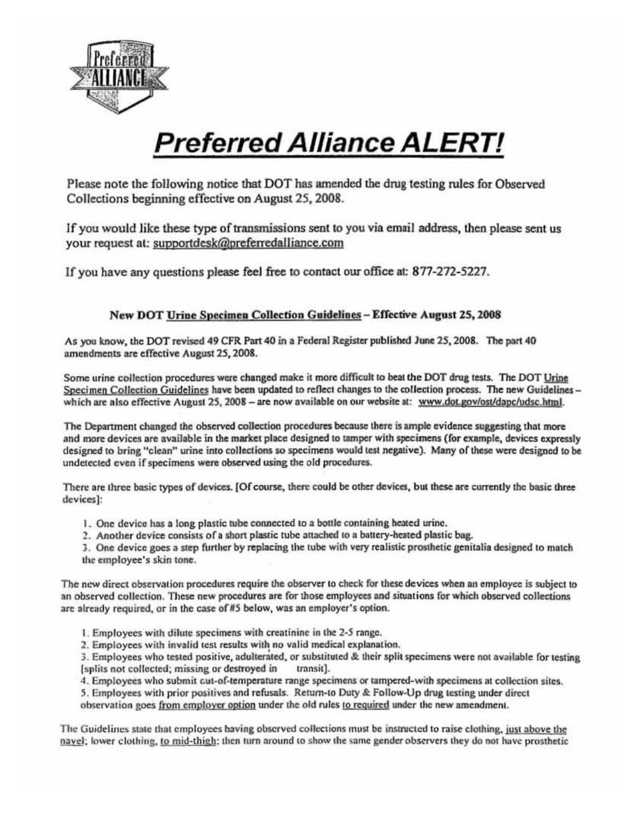

## **Preferred Alliance ALERT!**

Please note the following notice that DOT has amended the drug testing rules for Observed Collections beginning effective on August25, 2008.

If you would like these type of transmissions sent to you via email address, then please sent us your request at: supoortdesk@preferredalliance.com

If you have any questions please feel free to contact our office at: 877-272-5227.

## New DOT Urine Specimen Collection Guidelines- Effective August 25, 2008

As you know, the DOT revised 49 CFR Part 40 in a Federal Register published June 25, 2008. The part 40 amendments are effective August 25,2008.

Some urine collection procedures were changed make it more difficult to beat the DOT drug tests. The DOT Urine Specimen Collection Guidelines have been updated to reflect changes to the collection process. The new Guidelines which are also effective August 25, 2008 - are now available on our website at: www.dot.gov/ost/dapc/udsc.html.

The Department changed the observed collection procedures because there is ample evidence suggesting that more and more devices are available in lhe market place designed to tamper with specimens (for example, devices expressly designed to bring "clean" urine into collections so specimens would test negative). Many of these were designed to be undetected even if specimens were observed using the old procedures.

There are three basic types of devices. [Of course, there could be other devices, but these are currently the basic three devices]:

- 1. One device has a long plastic tube connected to a bottle containing heated urine.
- 2. Another device consists of a short plastic tube attached to a battery-heated plastic bag.

3. One device goes a step further by replacing the tube with very realistic prosthetic genitalia designed to match the employee's skin tone.

The new direct observation procedures require the observer to check for these devices when an employee is subject to an observed collection. These new procedures are for those employees and situations for which observed collections arc already required. or in the case of *ItS* below, was an employer's option.

- I. Employees with dilute specimens with creatinine in the 2-5 range.
- 2. Employees with invalid test results with no volid medical explanation.

3. Employees who tested positive, adulterated, or substituted & their split specimens were not available for testing (splits not collected; missing or destroyed in transit).

- 4. Employees who submit cut-of-temperature range specimens or tampered-w ith specimens at collection sites.
- 5. Employees with prior positives and refusals. Return-to Duty & Follow-Up drug testing under direct observation goes from employer option under the old rules to required under the new amendment.

The Guidelines state that employees baving observed collections must be instructed to raise clothing, just above the navel; lower clothing, to mid-thigh; then turn around to show the same gender observers they do not have prosthetic